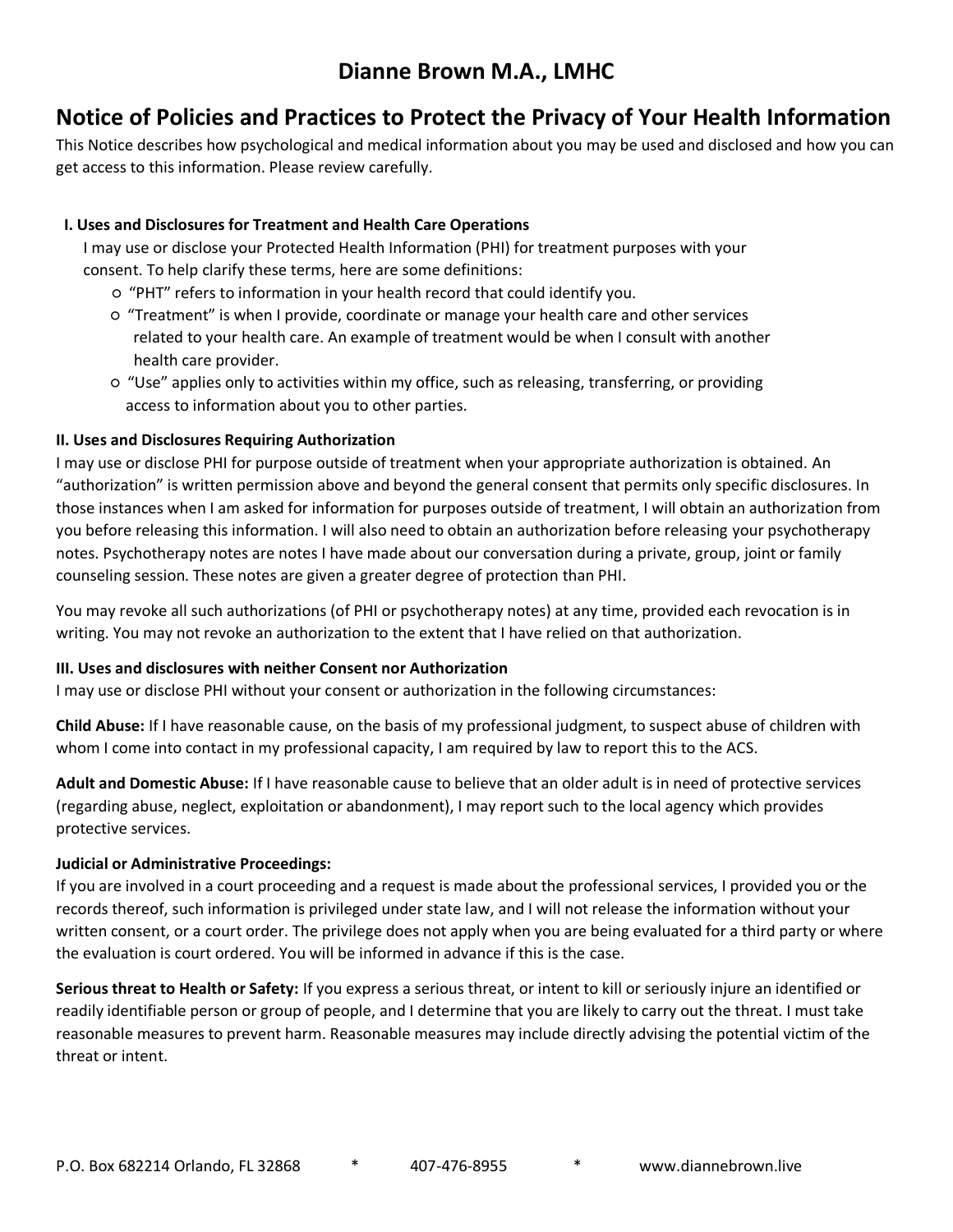## **Dianne Brown M.A., LMHC**

## **Notice of Policies and Practices to Protect the Privacy of Your Health Information**

This Notice describes how psychological and medical information about you may be used and disclosed and how you can get access to this information. Please review carefully.

#### **I. Uses and Disclosures for Treatment and Health Care Operations**

 I may use or disclose your Protected Health Information (PHI) for treatment purposes with your consent. To help clarify these terms, here are some definitions:

- "PHT" refers to information in your health record that could identify you.
- "Treatment" is when I provide, coordinate or manage your health care and other services related to your health care. An example of treatment would be when I consult with another health care provider.
- "Use" applies only to activities within my office, such as releasing, transferring, or providing access to information about you to other parties.

#### **II. Uses and Disclosures Requiring Authorization**

I may use or disclose PHI for purpose outside of treatment when your appropriate authorization is obtained. An "authorization" is written permission above and beyond the general consent that permits only specific disclosures. In those instances when I am asked for information for purposes outside of treatment, I will obtain an authorization from you before releasing this information. I will also need to obtain an authorization before releasing your psychotherapy notes. Psychotherapy notes are notes I have made about our conversation during a private, group, joint or family counseling session. These notes are given a greater degree of protection than PHI.

You may revoke all such authorizations (of PHI or psychotherapy notes) at any time, provided each revocation is in writing. You may not revoke an authorization to the extent that I have relied on that authorization.

#### **III. Uses and disclosures with neither Consent nor Authorization**

I may use or disclose PHI without your consent or authorization in the following circumstances:

**Child Abuse:** If I have reasonable cause, on the basis of my professional judgment, to suspect abuse of children with whom I come into contact in my professional capacity, I am required by law to report this to the ACS.

**Adult and Domestic Abuse:** If I have reasonable cause to believe that an older adult is in need of protective services (regarding abuse, neglect, exploitation or abandonment), I may report such to the local agency which provides protective services.

#### **Judicial or Administrative Proceedings:**

If you are involved in a court proceeding and a request is made about the professional services, I provided you or the records thereof, such information is privileged under state law, and I will not release the information without your written consent, or a court order. The privilege does not apply when you are being evaluated for a third party or where the evaluation is court ordered. You will be informed in advance if this is the case.

**Serious threat to Health or Safety:** If you express a serious threat, or intent to kill or seriously injure an identified or readily identifiable person or group of people, and I determine that you are likely to carry out the threat. I must take reasonable measures to prevent harm. Reasonable measures may include directly advising the potential victim of the threat or intent.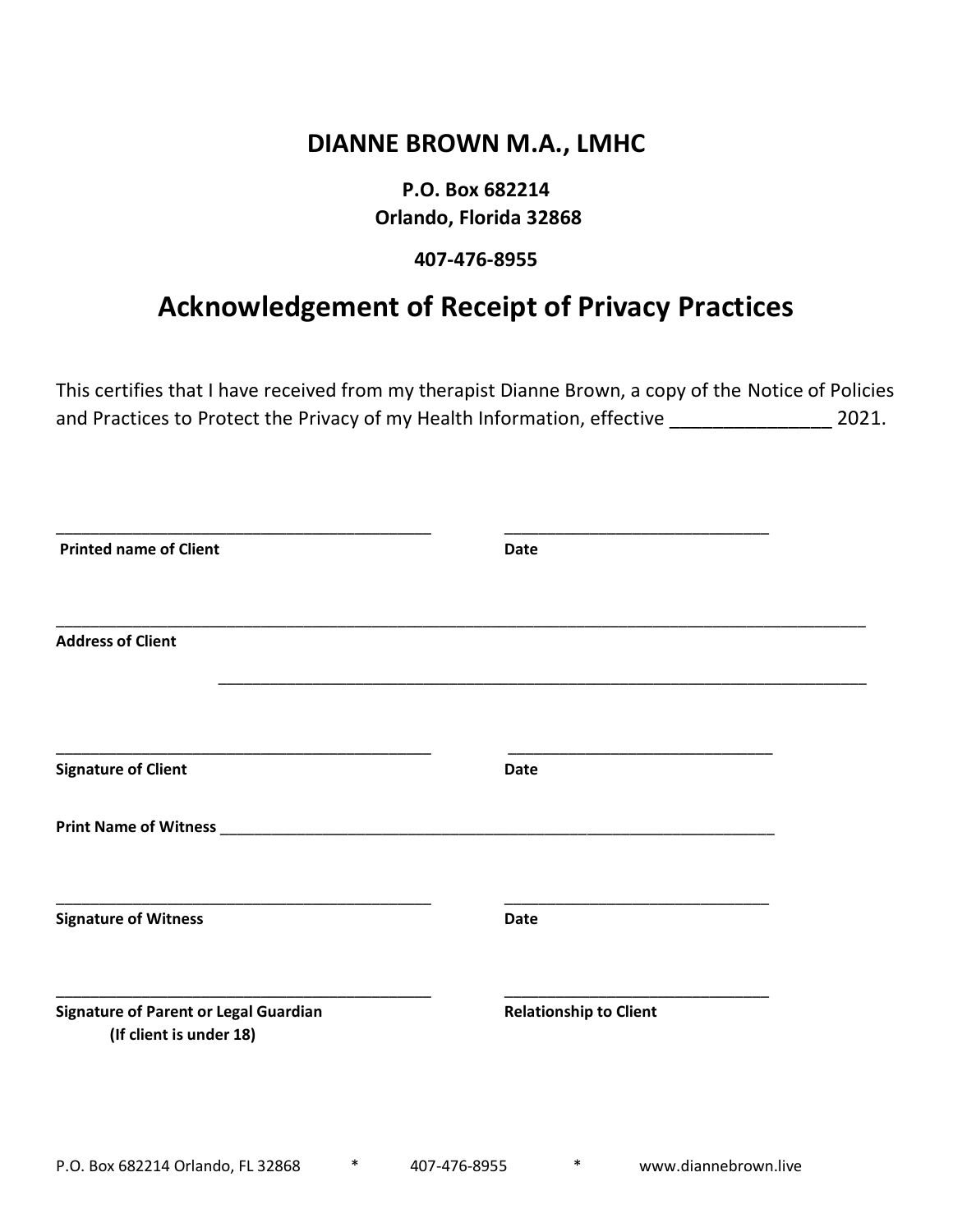## **DIANNE BROWN M.A., LMHC**

## **P.O. Box 682214 Orlando, Florida 32868**

### **407-476-8955**

## **Acknowledgement of Receipt of Privacy Practices**

This certifies that I have received from my therapist Dianne Brown, a copy of the Notice of Policies and Practices to Protect the Privacy of my Health Information, effective \_\_\_\_\_\_\_\_\_\_\_\_\_\_\_\_\_\_\_\_ 2021.

| <b>Printed name of Client</b>                                           | <b>Date</b>                   |  |
|-------------------------------------------------------------------------|-------------------------------|--|
| <b>Address of Client</b>                                                |                               |  |
| <b>Signature of Client</b>                                              | <b>Date</b>                   |  |
|                                                                         |                               |  |
| <b>Signature of Witness</b>                                             | <b>Date</b>                   |  |
| <b>Signature of Parent or Legal Guardian</b><br>(If client is under 18) | <b>Relationship to Client</b> |  |